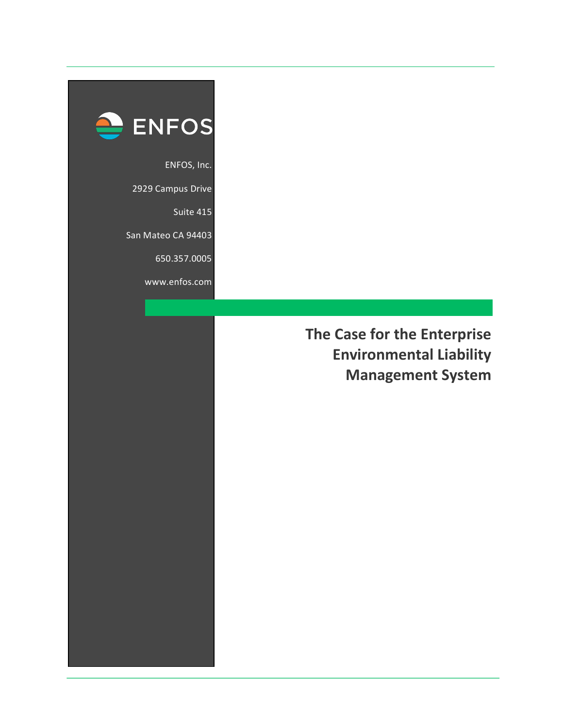

ENFOS, Inc.

2929 Campus Drive

Suite 415

San Mateo CA 94403

650.357.0005

www.enfos.com

**The Case for the Enterprise Environmental Liability Management System**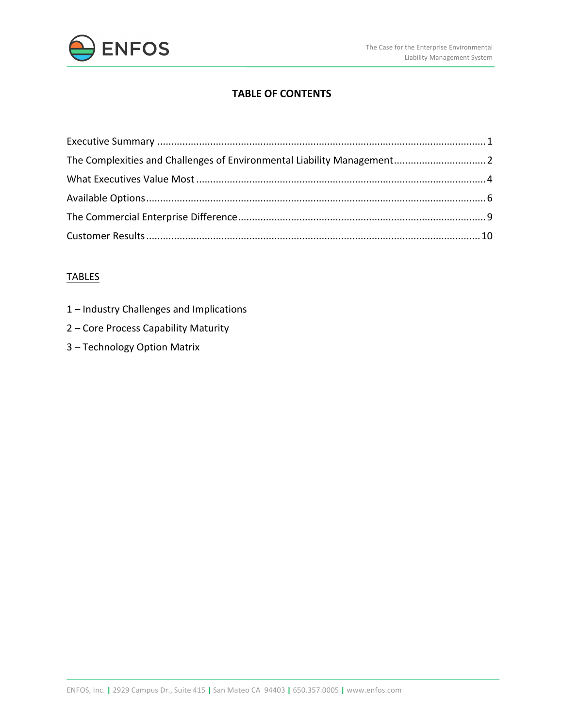

## **TABLE OF CONTENTS**

| The Complexities and Challenges of Environmental Liability Management 2 |  |
|-------------------------------------------------------------------------|--|
|                                                                         |  |
|                                                                         |  |
|                                                                         |  |
|                                                                         |  |

## TABLES

- 1 Industry Challenges and Implications
- 2 Core Process Capability Maturity
- 3 Technology Option Matrix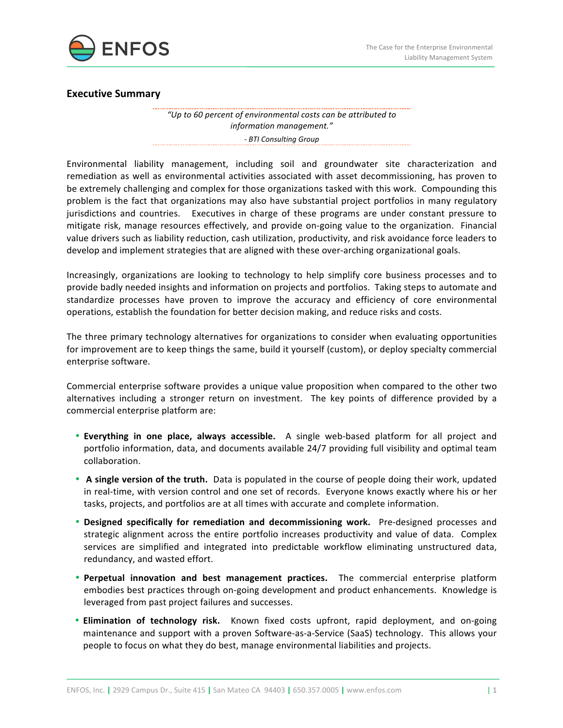

### **Executive Summary**

*"Up to 60 percent of environmental costs can be attributed to information management." - BTI Consulting Group* 

Environmental liability management, including soil and groundwater site characterization and remediation as well as environmental activities associated with asset decommissioning, has proven to be extremely challenging and complex for those organizations tasked with this work. Compounding this problem is the fact that organizations may also have substantial project portfolios in many regulatory jurisdictions and countries. Executives in charge of these programs are under constant pressure to mitigate risk, manage resources effectively, and provide on-going value to the organization. Financial value drivers such as liability reduction, cash utilization, productivity, and risk avoidance force leaders to develop and implement strategies that are aligned with these over-arching organizational goals.

Increasingly, organizations are looking to technology to help simplify core business processes and to provide badly needed insights and information on projects and portfolios. Taking steps to automate and standardize processes have proven to improve the accuracy and efficiency of core environmental operations, establish the foundation for better decision making, and reduce risks and costs.

The three primary technology alternatives for organizations to consider when evaluating opportunities for improvement are to keep things the same, build it yourself (custom), or deploy specialty commercial enterprise software.

Commercial enterprise software provides a unique value proposition when compared to the other two alternatives including a stronger return on investment. The key points of difference provided by a commercial enterprise platform are:

- **Everything in one place, always accessible.** A single web-based platform for all project and portfolio information, data, and documents available 24/7 providing full visibility and optimal team collaboration.
- A single version of the truth. Data is populated in the course of people doing their work, updated in real-time, with version control and one set of records. Everyone knows exactly where his or her tasks, projects, and portfolios are at all times with accurate and complete information.
- Designed specifically for remediation and decommissioning work. Pre-designed processes and strategic alignment across the entire portfolio increases productivity and value of data. Complex services are simplified and integrated into predictable workflow eliminating unstructured data, redundancy, and wasted effort.
- **Perpetual innovation and best management practices.** The commercial enterprise platform embodies best practices through on-going development and product enhancements. Knowledge is leveraged from past project failures and successes.
- **Elimination of technology risk.** Known fixed costs upfront, rapid deployment, and on-going maintenance and support with a proven Software-as-a-Service (SaaS) technology. This allows your people to focus on what they do best, manage environmental liabilities and projects.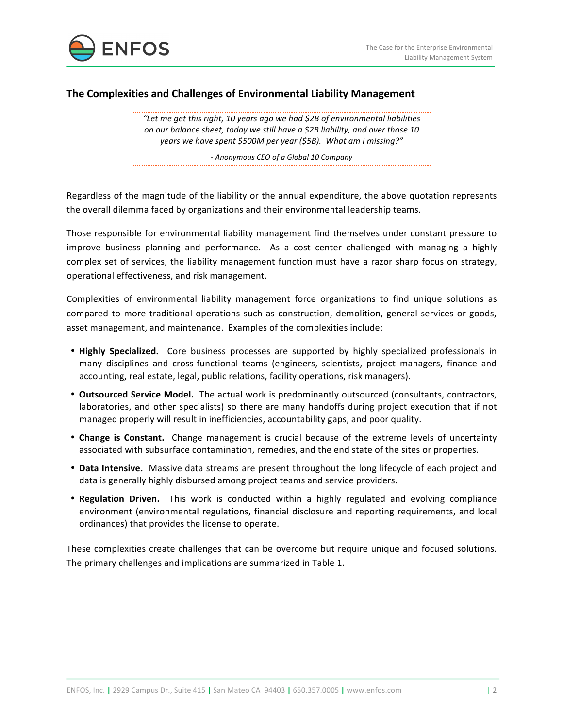



### **The Complexities and Challenges of Environmental Liability Management**

"Let me get this right, 10 years ago we had \$2B of environmental liabilities *on* our balance sheet, today we still have a \$2B liability, and over those 10 years we have spent \$500M per year (\$5B). What am I missing?"

*- Anonymous CEO of a Global 10 Company*

Regardless of the magnitude of the liability or the annual expenditure, the above quotation represents the overall dilemma faced by organizations and their environmental leadership teams.

Those responsible for environmental liability management find themselves under constant pressure to improve business planning and performance. As a cost center challenged with managing a highly complex set of services, the liability management function must have a razor sharp focus on strategy, operational effectiveness, and risk management. 

Complexities of environmental liability management force organizations to find unique solutions as compared to more traditional operations such as construction, demolition, general services or goods, asset management, and maintenance. Examples of the complexities include:

- **Highly Specialized.** Core business processes are supported by highly specialized professionals in many disciplines and cross-functional teams (engineers, scientists, project managers, finance and accounting, real estate, legal, public relations, facility operations, risk managers).
- **Outsourced Service Model.** The actual work is predominantly outsourced (consultants, contractors, laboratories, and other specialists) so there are many handoffs during project execution that if not managed properly will result in inefficiencies, accountability gaps, and poor quality.
- **Change is Constant.** Change management is crucial because of the extreme levels of uncertainty associated with subsurface contamination, remedies, and the end state of the sites or properties.
- **Data Intensive.** Massive data streams are present throughout the long lifecycle of each project and data is generally highly disbursed among project teams and service providers.
- **Regulation Driven.** This work is conducted within a highly regulated and evolving compliance environment (environmental regulations, financial disclosure and reporting requirements, and local ordinances) that provides the license to operate.

These complexities create challenges that can be overcome but require unique and focused solutions. The primary challenges and implications are summarized in Table 1.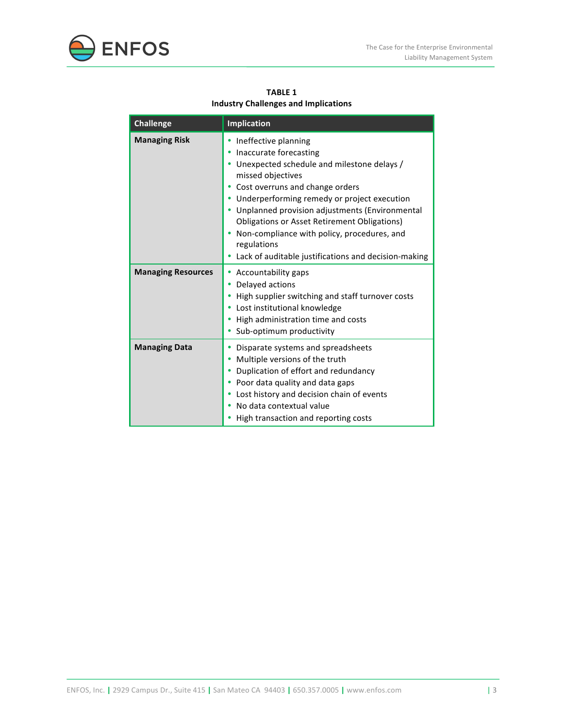



**TABLE 1 Industry Challenges and Implications** 

| <b>Challenge</b>          | <b>Implication</b>                                                                                                                                                                                                                                                                                                                                                                                                                             |
|---------------------------|------------------------------------------------------------------------------------------------------------------------------------------------------------------------------------------------------------------------------------------------------------------------------------------------------------------------------------------------------------------------------------------------------------------------------------------------|
| <b>Managing Risk</b>      | Ineffective planning<br>Inaccurate forecasting<br>Unexpected schedule and milestone delays /<br>missed objectives<br>Cost overruns and change orders<br>Underperforming remedy or project execution<br>٠<br>• Unplanned provision adjustments (Environmental<br><b>Obligations or Asset Retirement Obligations)</b><br>Non-compliance with policy, procedures, and<br>regulations<br>Lack of auditable justifications and decision-making<br>٠ |
| <b>Managing Resources</b> | Accountability gaps<br>٠<br>Delayed actions<br>High supplier switching and staff turnover costs<br>Lost institutional knowledge<br>High administration time and costs<br>Sub-optimum productivity                                                                                                                                                                                                                                              |
| <b>Managing Data</b>      | Disparate systems and spreadsheets<br>٠<br>Multiple versions of the truth<br>٠<br>Duplication of effort and redundancy<br>٠<br>Poor data quality and data gaps<br>Lost history and decision chain of events<br>No data contextual value<br>High transaction and reporting costs                                                                                                                                                                |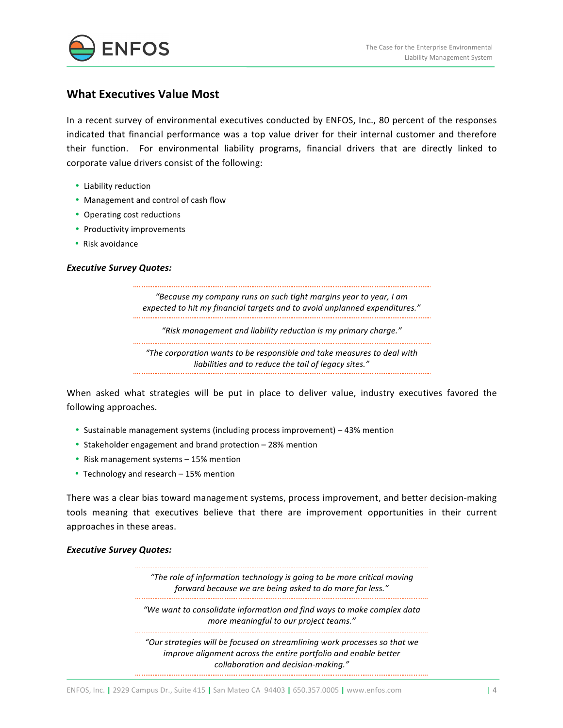

### **What Executives Value Most**

In a recent survey of environmental executives conducted by ENFOS, Inc., 80 percent of the responses indicated that financial performance was a top value driver for their internal customer and therefore their function. For environmental liability programs, financial drivers that are directly linked to corporate value drivers consist of the following:

- Liability reduction
- Management and control of cash flow
- Operating cost reductions
- Productivity improvements
- Risk avoidance

#### **Executive Survey Quotes:**

"Because my company runs on such tight margins year to year, I am *expected to hit my financial targets and to avoid unplanned expenditures."* 

*"Risk management and liability reduction is my primary charge."*

"The corporation wants to be responsible and take measures to deal with *liabilities and to reduce the tail of legacy sites."*

When asked what strategies will be put in place to deliver value, industry executives favored the following approaches.

- Sustainable management systems (including process improvement) 43% mention
- Stakeholder engagement and brand protection 28% mention
- Risk management systems 15% mention
- Technology and research 15% mention

There was a clear bias toward management systems, process improvement, and better decision-making tools meaning that executives believe that there are improvement opportunities in their current approaches in these areas.

#### **Executive Survey Quotes:**

*"The role of information technology is going to be more critical moving forward because we are being asked to do more for less."* 

"We want to consolidate information and find ways to make complex data *more meaningful to our project teams."* 

"Our strategies will be focused on streamlining work processes so that we *improve alignment across the entire portfolio and enable better collaboration and decision-making."*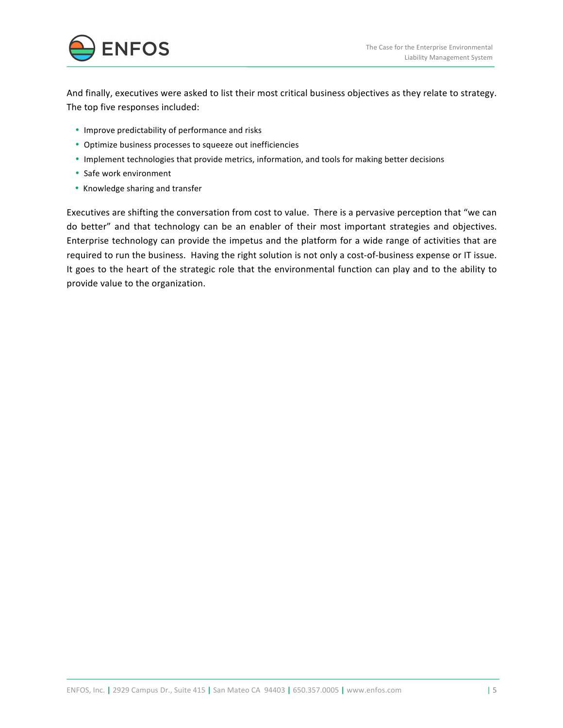

And finally, executives were asked to list their most critical business objectives as they relate to strategy. The top five responses included:

- Improve predictability of performance and risks
- Optimize business processes to squeeze out inefficiencies
- Implement technologies that provide metrics, information, and tools for making better decisions
- Safe work environment
- Knowledge sharing and transfer

Executives are shifting the conversation from cost to value. There is a pervasive perception that "we can do better" and that technology can be an enabler of their most important strategies and objectives. Enterprise technology can provide the impetus and the platform for a wide range of activities that are required to run the business. Having the right solution is not only a cost-of-business expense or IT issue. It goes to the heart of the strategic role that the environmental function can play and to the ability to provide value to the organization.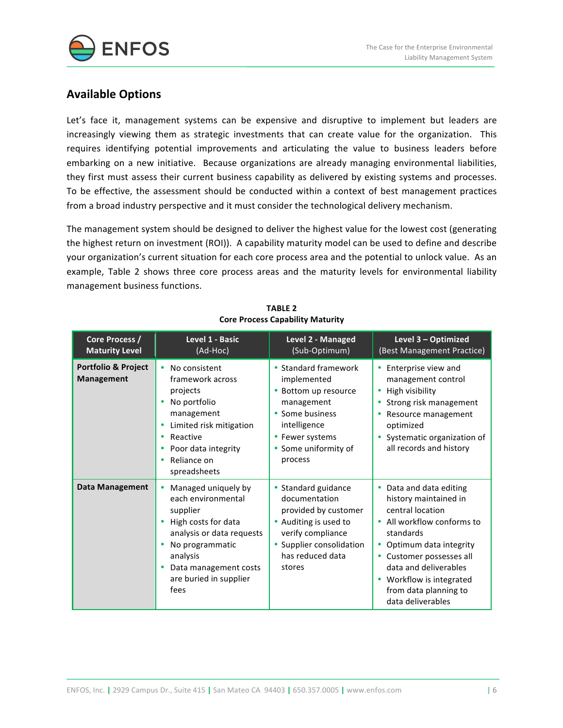

# **Available Options**

Let's face it, management systems can be expensive and disruptive to implement but leaders are increasingly viewing them as strategic investments that can create value for the organization. This requires identifying potential improvements and articulating the value to business leaders before embarking on a new initiative. Because organizations are already managing environmental liabilities, they first must assess their current business capability as delivered by existing systems and processes. To be effective, the assessment should be conducted within a context of best management practices from a broad industry perspective and it must consider the technological delivery mechanism.

The management system should be designed to deliver the highest value for the lowest cost (generating the highest return on investment (ROI)). A capability maturity model can be used to define and describe your organization's current situation for each core process area and the potential to unlock value. As an example, Table 2 shows three core process areas and the maturity levels for environmental liability management business functions.

| Core Process /<br><b>Maturity Level</b>  | Level 1 - Basic<br>(Ad-Hoc)                                                                                                                                                                              | Level 2 - Managed<br>(Sub-Optimum)                                                                                                                                   | Level 3 - Optimized<br>(Best Management Practice)                                                                                                                                                                                                                  |
|------------------------------------------|----------------------------------------------------------------------------------------------------------------------------------------------------------------------------------------------------------|----------------------------------------------------------------------------------------------------------------------------------------------------------------------|--------------------------------------------------------------------------------------------------------------------------------------------------------------------------------------------------------------------------------------------------------------------|
| Portfolio & Project<br><b>Management</b> | No consistent<br>٠<br>framework across<br>projects<br>No portfolio<br>management<br>Limited risk mitigation<br>Reactive<br>٠<br>Poor data integrity<br>Reliance on<br>٠<br>spreadsheets                  | • Standard framework<br>implemented<br>• Bottom up resource<br>management<br>• Some business<br>intelligence<br>• Fewer systems<br>• Some uniformity of<br>process   | • Enterprise view and<br>management control<br>High visibility<br>Strong risk management<br>Resource management<br>optimized<br>Systematic organization of<br>all records and history                                                                              |
| <b>Data Management</b>                   | Managed uniquely by<br>٠<br>each environmental<br>supplier<br>High costs for data<br>analysis or data requests<br>No programmatic<br>analysis<br>Data management costs<br>are buried in supplier<br>fees | • Standard guidance<br>documentation<br>provided by customer<br>• Auditing is used to<br>verify compliance<br>• Supplier consolidation<br>has reduced data<br>stores | Data and data editing<br>history maintained in<br>central location<br>• All workflow conforms to<br>standards<br>Optimum data integrity<br>Customer possesses all<br>data and deliverables<br>Workflow is integrated<br>from data planning to<br>data deliverables |

**TABLE 2 Core Process Capability Maturity**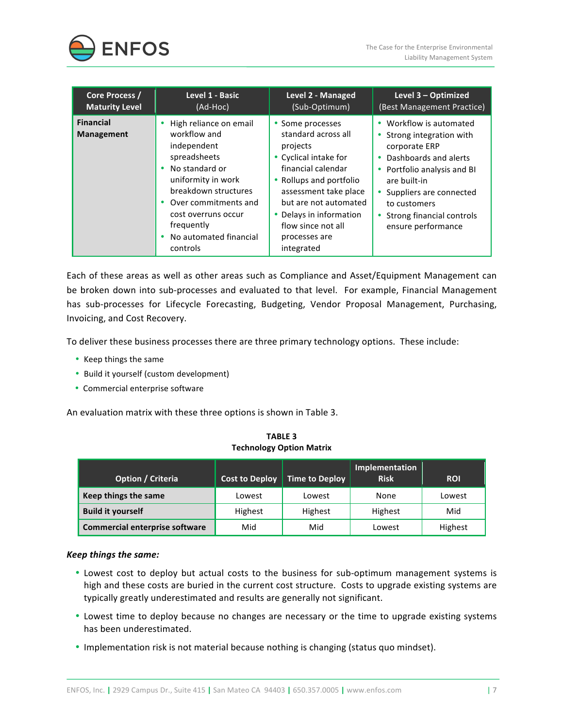

| Core Process /                        | Level 1 - Basic                                                                                                                                                                                                                              | Level 2 - Managed                                                                                                                                                                                                                                             | Level 3 - Optimized                                                                                                                                                                                                                     |
|---------------------------------------|----------------------------------------------------------------------------------------------------------------------------------------------------------------------------------------------------------------------------------------------|---------------------------------------------------------------------------------------------------------------------------------------------------------------------------------------------------------------------------------------------------------------|-----------------------------------------------------------------------------------------------------------------------------------------------------------------------------------------------------------------------------------------|
| <b>Maturity Level</b>                 | (Ad-Hoc)                                                                                                                                                                                                                                     | (Sub-Optimum)                                                                                                                                                                                                                                                 | (Best Management Practice)                                                                                                                                                                                                              |
| <b>Financial</b><br><b>Management</b> | High reliance on email<br>workflow and<br>independent<br>spreadsheets<br>• No standard or<br>uniformity in work<br>breakdown structures<br>• Over commitments and<br>cost overruns occur<br>frequently<br>No automated financial<br>controls | Some processes<br>standard across all<br>projects<br>• Cyclical intake for<br>financial calendar<br>• Rollups and portfolio<br>assessment take place<br>but are not automated<br>• Delays in information<br>flow since not all<br>processes are<br>integrated | • Workflow is automated<br>Strong integration with<br>corporate ERP<br>Dashboards and alerts<br>Portfolio analysis and BI<br>are built-in<br>Suppliers are connected<br>to customers<br>Strong financial controls<br>ensure performance |

Each of these areas as well as other areas such as Compliance and Asset/Equipment Management can be broken down into sub-processes and evaluated to that level. For example, Financial Management has sub-processes for Lifecycle Forecasting, Budgeting, Vendor Proposal Management, Purchasing, Invoicing, and Cost Recovery.

To deliver these business processes there are three primary technology options. These include:

- Keep things the same
- Build it yourself (custom development)
- Commercial enterprise software

An evaluation matrix with these three options is shown in Table 3.

**TABLE 3 Technology Option Matrix**

| Option / Criteria              | <b>Cost to Deploy</b> | <b>Time to Deploy</b> | Implementation<br><b>Risk</b> | <b>ROI</b> |
|--------------------------------|-----------------------|-----------------------|-------------------------------|------------|
| Keep things the same           | Lowest                | Lowest                | None                          | Lowest     |
| <b>Build it yourself</b>       | Highest               | Highest               | Highest                       | Mid        |
| Commercial enterprise software | Mid                   | Mid                   | Lowest                        | Highest    |

#### *Keep things the same:*

- Lowest cost to deploy but actual costs to the business for sub-optimum management systems is high and these costs are buried in the current cost structure. Costs to upgrade existing systems are typically greatly underestimated and results are generally not significant.
- Lowest time to deploy because no changes are necessary or the time to upgrade existing systems has been underestimated.
- Implementation risk is not material because nothing is changing (status quo mindset).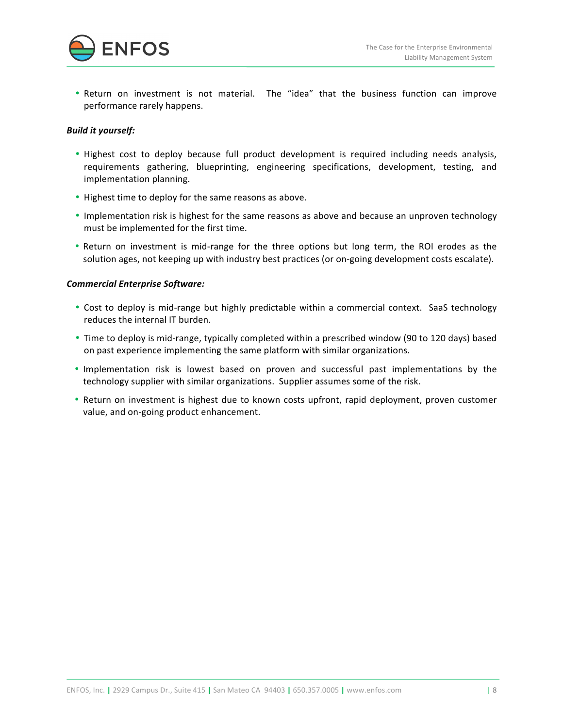

• Return on investment is not material. The "idea" that the business function can improve performance rarely happens.

### *Build it yourself:*

- Highest cost to deploy because full product development is required including needs analysis, requirements gathering, blueprinting, engineering specifications, development, testing, and implementation planning.
- Highest time to deploy for the same reasons as above.
- Implementation risk is highest for the same reasons as above and because an unproven technology must be implemented for the first time.
- Return on investment is mid-range for the three options but long term, the ROI erodes as the solution ages, not keeping up with industry best practices (or on-going development costs escalate).

### *Commercial Enterprise Software:*

- Cost to deploy is mid-range but highly predictable within a commercial context. SaaS technology reduces the internal IT burden.
- Time to deploy is mid-range, typically completed within a prescribed window (90 to 120 days) based on past experience implementing the same platform with similar organizations.
- Implementation risk is lowest based on proven and successful past implementations by the technology supplier with similar organizations. Supplier assumes some of the risk.
- Return on investment is highest due to known costs upfront, rapid deployment, proven customer value, and on-going product enhancement.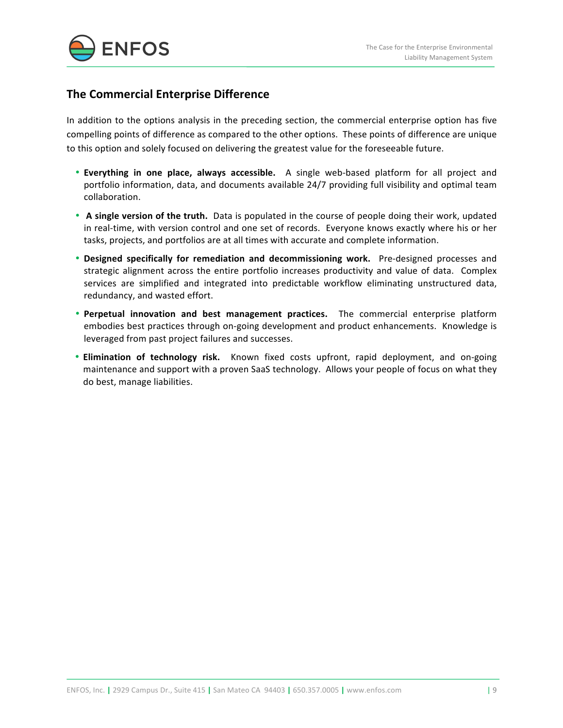

# **The Commercial Enterprise Difference**

In addition to the options analysis in the preceding section, the commercial enterprise option has five compelling points of difference as compared to the other options. These points of difference are unique to this option and solely focused on delivering the greatest value for the foreseeable future.

- **Everything in one place, always accessible.** A single web-based platform for all project and portfolio information, data, and documents available 24/7 providing full visibility and optimal team collaboration.
- A single version of the truth. Data is populated in the course of people doing their work, updated in real-time, with version control and one set of records. Everyone knows exactly where his or her tasks, projects, and portfolios are at all times with accurate and complete information.
- Designed specifically for remediation and decommissioning work. Pre-designed processes and strategic alignment across the entire portfolio increases productivity and value of data. Complex services are simplified and integrated into predictable workflow eliminating unstructured data, redundancy, and wasted effort.
- **Perpetual innovation and best management practices.** The commercial enterprise platform embodies best practices through on-going development and product enhancements. Knowledge is leveraged from past project failures and successes.
- **Elimination of technology risk.** Known fixed costs upfront, rapid deployment, and on-going maintenance and support with a proven SaaS technology. Allows your people of focus on what they do best, manage liabilities.